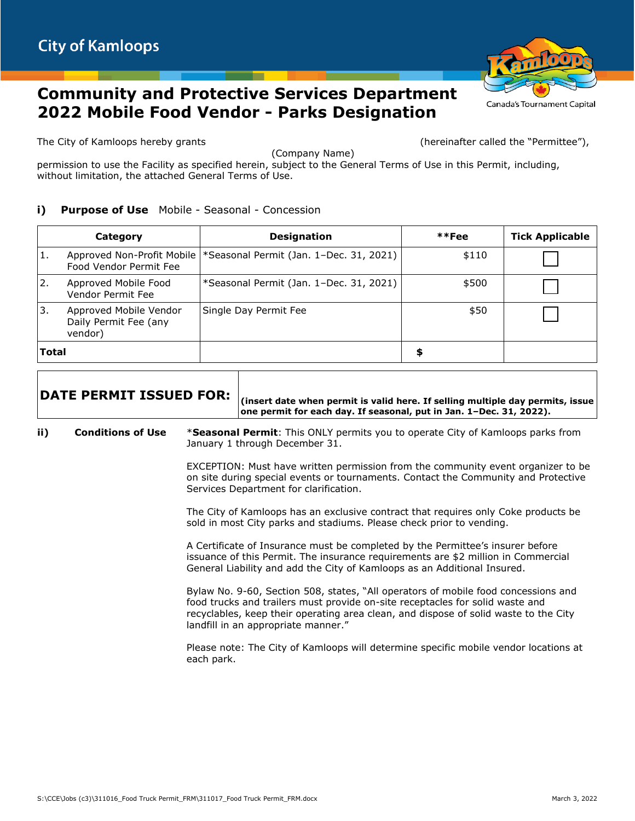## **Community and Protective Services Department 2022 Mobile Food Vendor - Parks Designation**

The City of Kamloops hereby grants the second section of the City of Kamloops hereby grants the second termittee of the  $\Gamma$ 

(Company Name)

permission to use the Facility as specified herein, subject to the General Terms of Use in this Permit, including, without limitation, the attached General Terms of Use.

## **i)** Purpose of Use Mobile - Seasonal - Concession

|           | Category                                                   | <b>Designation</b>                                                    | $**Fee$ | <b>Tick Applicable</b> |
|-----------|------------------------------------------------------------|-----------------------------------------------------------------------|---------|------------------------|
| 1.        | Food Vendor Permit Fee                                     | Approved Non-Profit Mobile   * Seasonal Permit (Jan. 1–Dec. 31, 2021) | \$110   |                        |
| <u>2.</u> | Approved Mobile Food<br>Vendor Permit Fee                  | *Seasonal Permit (Jan. 1–Dec. 31, 2021)                               | \$500   |                        |
| 3.        | Approved Mobile Vendor<br>Daily Permit Fee (any<br>vendor) | Single Day Permit Fee                                                 | \$50    |                        |
| Total     |                                                            |                                                                       |         |                        |

**DATE PERMIT ISSUED FOR: (insert date when permit is valid here. If selling multiple day permits, issue one permit for each day. If seasonal, put in Jan. 1–Dec. 31, 2022).**

**ii) Conditions of Use** \***Seasonal Permit**: This ONLY permits you to operate City of Kamloops parks from January 1 through December 31.

> EXCEPTION: Must have written permission from the community event organizer to be on site during special events or tournaments. Contact the Community and Protective Services Department for clarification.

The City of Kamloops has an exclusive contract that requires only Coke products be sold in most City parks and stadiums. Please check prior to vending.

A Certificate of Insurance must be completed by the Permittee's insurer before issuance of this Permit. The insurance requirements are \$2 million in Commercial General Liability and add the City of Kamloops as an Additional Insured.

Bylaw No. 9-60, Section 508, states, "All operators of mobile food concessions and food trucks and trailers must provide on-site receptacles for solid waste and recyclables, keep their operating area clean, and dispose of solid waste to the City landfill in an appropriate manner."

Please note: The City of Kamloops will determine specific mobile vendor locations at each park.



Canada's Tournament Capital